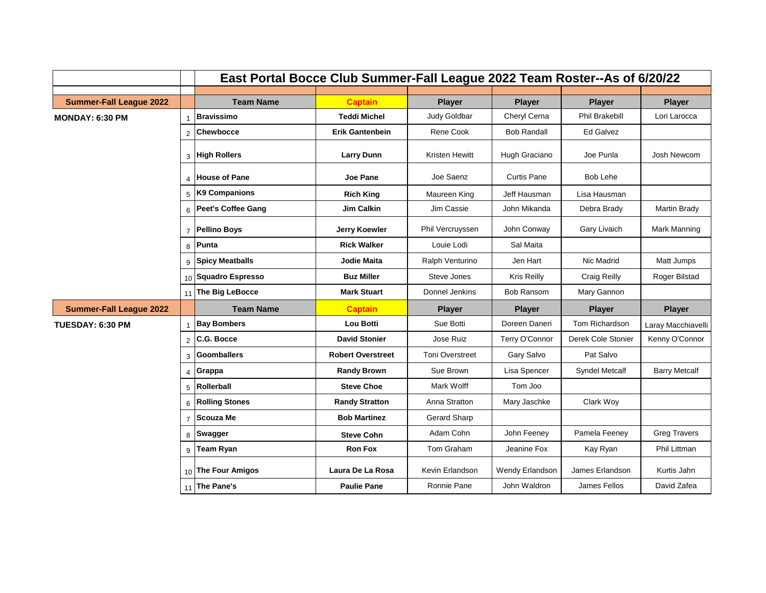|                                |                | East Portal Bocce Club Summer-Fall League 2022 Team Roster--As of 6/20/22 |                          |                        |                    |                       |                      |
|--------------------------------|----------------|---------------------------------------------------------------------------|--------------------------|------------------------|--------------------|-----------------------|----------------------|
|                                |                |                                                                           |                          |                        |                    |                       |                      |
| <b>Summer-Fall League 2022</b> |                | <b>Team Name</b>                                                          | <b>Captain</b>           | <b>Player</b>          | <b>Player</b>      | <b>Player</b>         | <b>Player</b>        |
| MONDAY: 6:30 PM                | $\overline{1}$ | <b>Bravissimo</b>                                                         | <b>Teddi Michel</b>      | Judy Goldbar           | Cheryl Cerna       | <b>Phil Brakebill</b> | Lori Larocca         |
|                                | 2              | <b>Chewbocce</b>                                                          | <b>Erik Gantenbein</b>   | Rene Cook              | <b>Bob Randall</b> | Ed Galvez             |                      |
|                                | 3              | <b>High Rollers</b>                                                       | <b>Larry Dunn</b>        | Kristen Hewitt         | Hugh Graciano      | Joe Punla             | Josh Newcom          |
|                                | $\overline{4}$ | <b>House of Pane</b>                                                      | Joe Pane                 | Joe Saenz              | Curtis Pane        | Bob Lehe              |                      |
|                                | 5              | K9 Companions                                                             | <b>Rich King</b>         | Maureen King           | Jeff Hausman       | Lisa Hausman          |                      |
|                                | 6              | <b>Peet's Coffee Gang</b>                                                 | <b>Jim Calkin</b>        | Jim Cassie             | John Mikanda       | Debra Brady           | <b>Martin Brady</b>  |
|                                | $\overline{7}$ | <b>Pellino Boys</b>                                                       | <b>Jerry Koewler</b>     | Phil Vercruyssen       | John Conway        | Gary Livaich          | <b>Mark Manning</b>  |
|                                | 8              | Punta                                                                     | <b>Rick Walker</b>       | Louie Lodi             | Sal Maita          |                       |                      |
|                                | q              | <b>Spicy Meatballs</b>                                                    | <b>Jodie Maita</b>       | Ralph Venturino        | Jen Hart           | Nic Madrid            | Matt Jumps           |
|                                |                | 10 Squadro Espresso                                                       | <b>Buz Miller</b>        | Steve Jones            | Kris Reilly        | Craig Reilly          | Roger Bilstad        |
|                                | 11             | The Big LeBocce                                                           | <b>Mark Stuart</b>       | Donnel Jenkins         | <b>Bob Ransom</b>  | Mary Gannon           |                      |
| <b>Summer-Fall League 2022</b> |                | <b>Team Name</b>                                                          | <b>Captain</b>           | <b>Player</b>          | <b>Player</b>      | <b>Player</b>         | <b>Player</b>        |
| <b>TUESDAY: 6:30 PM</b>        |                | <b>Bay Bombers</b>                                                        | <b>Lou Botti</b>         | Sue Botti              | Doreen Daneri      | Tom Richardson        | Laray Macchiavelli   |
|                                | $\overline{2}$ | C.G. Bocce                                                                | <b>David Stonier</b>     | Jose Ruiz              | Terry O'Connor     | Derek Cole Stonier    | Kenny O'Connor       |
|                                | 3              | <b>Goomballers</b>                                                        | <b>Robert Overstreet</b> | <b>Toni Overstreet</b> | Gary Salvo         | Pat Salvo             |                      |
|                                | $\overline{4}$ | Grappa                                                                    | <b>Randy Brown</b>       | Sue Brown              | Lisa Spencer       | <b>Syndel Metcalf</b> | <b>Barry Metcalf</b> |
|                                | 5              | Rollerball                                                                | <b>Steve Choe</b>        | Mark Wolff             | Tom Joo            |                       |                      |
|                                | 6              | <b>Rolling Stones</b>                                                     | <b>Randy Stratton</b>    | Anna Stratton          | Mary Jaschke       | Clark Woy             |                      |
|                                | $\overline{7}$ | <b>Scouza Me</b>                                                          | <b>Bob Martinez</b>      | Gerard Sharp           |                    |                       |                      |
|                                | 8              | <b>Swagger</b>                                                            | <b>Steve Cohn</b>        | Adam Cohn              | John Feeney        | Pamela Feeney         | <b>Greg Travers</b>  |
|                                | 9              | <b>Team Ryan</b>                                                          | <b>Ron Fox</b>           | Tom Graham             | Jeanine Fox        | Kay Ryan              | <b>Phil Littman</b>  |
|                                |                | 10 The Four Amigos                                                        | Laura De La Rosa         | Kevin Erlandson        | Wendy Erlandson    | James Erlandson       | Kurtis Jahn          |
|                                | 11             | The Pane's                                                                | <b>Paulie Pane</b>       | Ronnie Pane            | John Waldron       | James Fellos          | David Zafea          |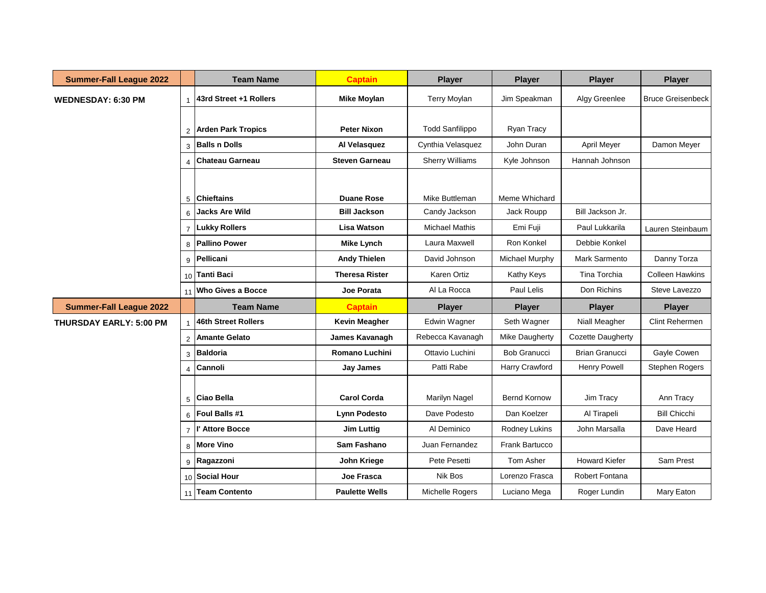| <b>Summer-Fall League 2022</b> |                | <b>Team Name</b>         | <b>Captain</b>        | <b>Player</b>          | <b>Player</b>         | <b>Player</b>         | <b>Player</b>            |
|--------------------------------|----------------|--------------------------|-----------------------|------------------------|-----------------------|-----------------------|--------------------------|
| <b>WEDNESDAY: 6:30 PM</b>      |                | 43rd Street +1 Rollers   | <b>Mike Moylan</b>    | <b>Terry Moylan</b>    | Jim Speakman          | Algy Greenlee         | <b>Bruce Greisenbeck</b> |
|                                |                |                          |                       |                        |                       |                       |                          |
|                                |                | 2 Arden Park Tropics     | <b>Peter Nixon</b>    | <b>Todd Sanfilippo</b> | Ryan Tracy            |                       |                          |
|                                | $\mathbf{3}$   | <b>Balls n Dolls</b>     | Al Velasquez          | Cynthia Velasquez      | John Duran            | April Meyer           | Damon Meyer              |
|                                | $\mathbf{A}$   | Chateau Garneau          | <b>Steven Garneau</b> | <b>Sherry Williams</b> | Kyle Johnson          | Hannah Johnson        |                          |
|                                |                |                          |                       |                        |                       |                       |                          |
|                                |                | 5 Chieftains             | <b>Duane Rose</b>     | Mike Buttleman         | Meme Whichard         |                       |                          |
|                                | ĥ.             | <b>Jacks Are Wild</b>    | <b>Bill Jackson</b>   | Candy Jackson          | Jack Roupp            | Bill Jackson Jr.      |                          |
|                                |                | 7 Lukky Rollers          | <b>Lisa Watson</b>    | <b>Michael Mathis</b>  | Emi Fuji              | Paul Lukkarila        | Lauren Steinbaum         |
|                                | 8              | <b>Pallino Power</b>     | <b>Mike Lynch</b>     | Laura Maxwell          | Ron Konkel            | Debbie Konkel         |                          |
|                                |                | 9 Pellicani              | <b>Andy Thielen</b>   | David Johnson          | Michael Murphy        | Mark Sarmento         | Danny Torza              |
|                                |                | 10 Tanti Baci            | <b>Theresa Rister</b> | Karen Ortiz            | Kathy Keys            | Tina Torchia          | <b>Colleen Hawkins</b>   |
|                                | 11             | <b>Who Gives a Bocce</b> | <b>Joe Porata</b>     | Al La Rocca            | Paul Lelis            | Don Richins           | Steve Lavezzo            |
| <b>Summer-Fall League 2022</b> |                | <b>Team Name</b>         | <b>Captain</b>        | <b>Player</b>          | <b>Player</b>         | <b>Player</b>         | <b>Player</b>            |
| THURSDAY EARLY: 5:00 PM        |                | 46th Street Rollers      | <b>Kevin Meagher</b>  | Edwin Wagner           | Seth Wagner           | Niall Meagher         | <b>Clint Rehermen</b>    |
|                                |                | 2 Amante Gelato          | James Kavanagh        | Rebecca Kavanagh       | Mike Daugherty        | Cozette Daugherty     |                          |
|                                | 3              | <b>Baldoria</b>          | <b>Romano Luchini</b> | Ottavio Luchini        | <b>Bob Granucci</b>   | <b>Brian Granucci</b> | Gayle Cowen              |
|                                | $\overline{4}$ | Cannoli                  | <b>Jay James</b>      | Patti Rabe             | Harry Crawford        | <b>Henry Powell</b>   | Stephen Rogers           |
|                                |                |                          |                       |                        |                       |                       |                          |
|                                |                | 5 Ciao Bella             | <b>Carol Corda</b>    | <b>Marilyn Nagel</b>   | <b>Bernd Kornow</b>   | Jim Tracy             | Ann Tracy                |
|                                |                | $_6$ Foul Balls #1       | <b>Lynn Podesto</b>   | Dave Podesto           | Dan Koelzer           | Al Tirapeli           | <b>Bill Chicchi</b>      |
|                                |                | I' Attore Bocce          | Jim Luttia            | Al Deminico            | <b>Rodney Lukins</b>  | John Marsalla         | Dave Heard               |
|                                |                | 8 More Vino              | Sam Fashano           | Juan Fernandez         | <b>Frank Bartucco</b> |                       |                          |
|                                | 9              | Ragazzoni                | <b>John Kriege</b>    | Pete Pesetti           | Tom Asher             | <b>Howard Kiefer</b>  | Sam Prest                |
|                                |                | 10 Social Hour           | Joe Frasca            | Nik Bos                | Lorenzo Frasca        | Robert Fontana        |                          |
|                                | 11             | <b>Team Contento</b>     | <b>Paulette Wells</b> | Michelle Rogers        | Luciano Mega          | Roger Lundin          | Mary Eaton               |